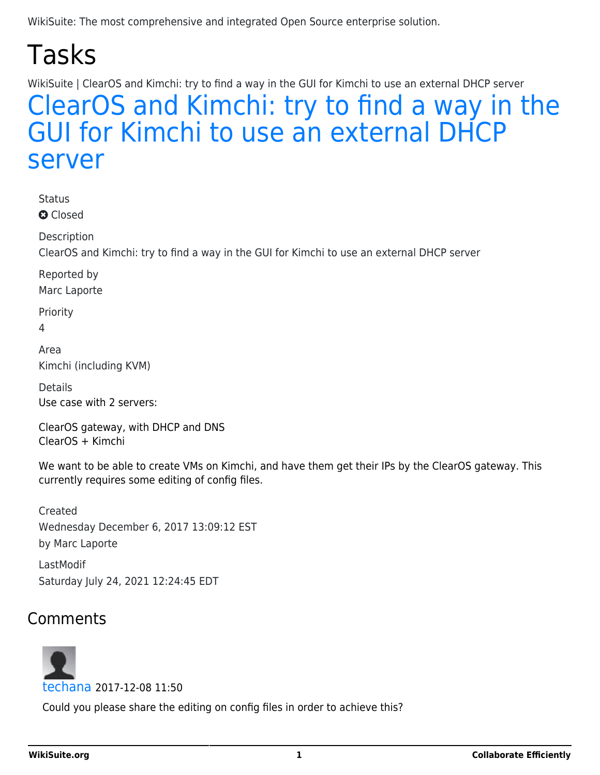## Tasks

WikiSuite | ClearOS and Kimchi: try to find a way in the GUI for Kimchi to use an external DHCP server

## [ClearOS and Kimchi: try to find a way in the](https://wikisuite.org/item255-ClearOS-and-Kimchi-try-to-find-a-way-in-the-GUI-for-Kimchi-to-use-an-external-DHCP-server) [GUI for Kimchi to use an external DHCP](https://wikisuite.org/item255-ClearOS-and-Kimchi-try-to-find-a-way-in-the-GUI-for-Kimchi-to-use-an-external-DHCP-server) [server](https://wikisuite.org/item255-ClearOS-and-Kimchi-try-to-find-a-way-in-the-GUI-for-Kimchi-to-use-an-external-DHCP-server)

**Status** 

**a** Closed

Description

ClearOS and Kimchi: try to find a way in the GUI for Kimchi to use an external DHCP server

Reported by

Marc Laporte

Priority

4

Area Kimchi (including KVM)

Details Use case with 2 servers:

ClearOS gateway, with DHCP and DNS ClearOS + Kimchi

We want to be able to create VMs on Kimchi, and have them get their IPs by the ClearOS gateway. This currently requires some editing of config files.

Created Wednesday December 6, 2017 13:09:12 EST by Marc Laporte

LastModif Saturday July 24, 2021 12:24:45 EDT

## Comments

## [techana](https://wikisuite.org/user166) 2017-12-08 11:50

Could you please share the editing on config files in order to achieve this?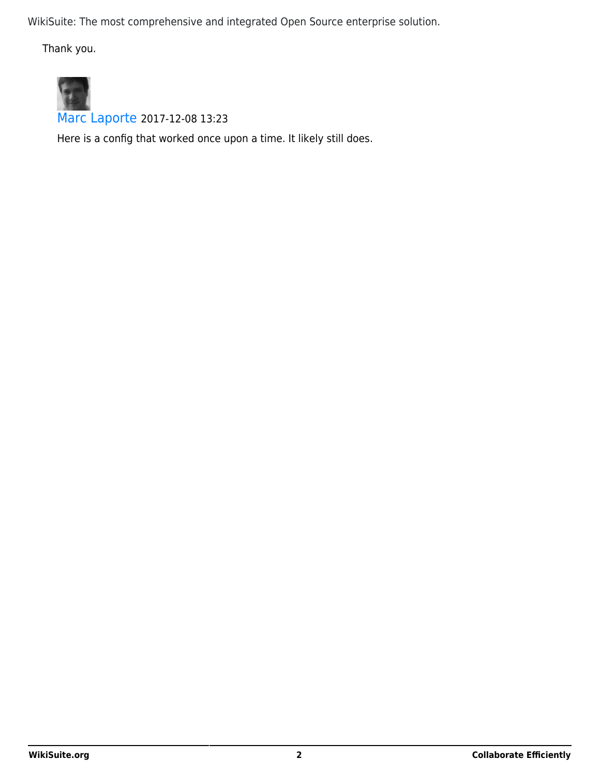Thank you.



[Marc Laporte](https://wikisuite.org/user8) 2017-12-08 13:23

Here is a config that worked once upon a time. It likely still does.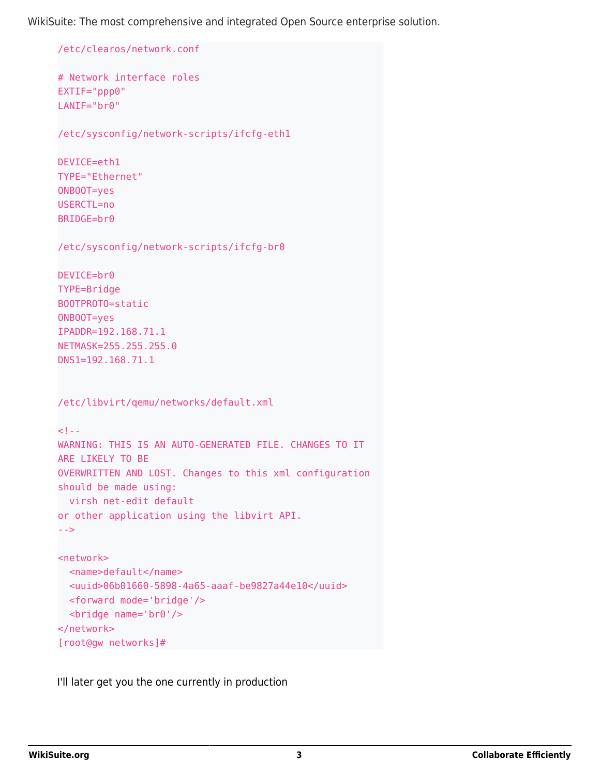```
/etc/clearos/network.conf
# Network interface roles
EXTIF="ppp0"
LANIF="br0"
/etc/sysconfig/network-scripts/ifcfg-eth1
DEVICE=eth1
TYPE="Ethernet"
ONBOOT=yes
USERCTL=no
BRIDGE=br0
/etc/sysconfig/network-scripts/ifcfg-br0
DEVICE=br0
TYPE=Bridge
BOOTPROTO=static
ONBOOT=yes
IPADDR=192.168.71.1
NETMASK=255.255.255.0
DNS1=192.168.71.1
/etc/libvirt/qemu/networks/default.xml
<! -WARNING: THIS IS AN AUTO-GENERATED FILE. CHANGES TO IT
ARE LIKELY TO BE
OVERWRITTEN AND LOST. Changes to this xml configuration
should be made using:
  virsh net-edit default
or other application using the libvirt API.
-->
<network>
  <name>default</name>
  <uuid>06b01660-5898-4a65-aaaf-be9827a44e10</uuid>
  <forward mode='bridge'/>
  <bridge name='br0'/>
</network>
[root@gw networks]#
```
I'll later get you the one currently in production